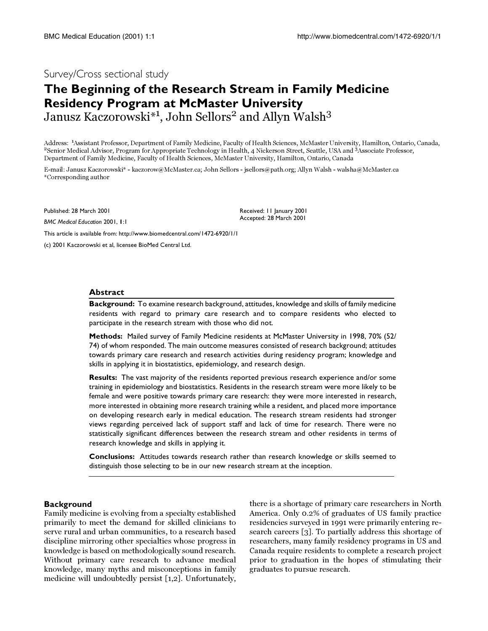# Survey/Cross sectional study

# **The Beginning of the Research Stream in Family Medicine Residency Program at McMaster University** Janusz Kaczorowski<sup>\*1</sup>, John Sellors<sup>2</sup> and Allyn Walsh<sup>3</sup>

Address: <sup>1</sup>Assistant Professor, Department of Family Medicine, Faculty of Health Sciences, McMaster University, Hamilton, Ontario, Canada, <sup>2</sup>Senior Medical Advisor, Program for Appropriate Technology in Health, 4 Nickerson Street, Seattle, USA and <sup>3</sup>Associate Professor, Department of Family Medicine, Faculty of Health Sciences, McMaster University, Hamilton, Ontario, Canada

> Received: 11 January 2001 Accepted: 28 March 2001

E-mail: Janusz Kaczorowski\* - kaczorow@McMaster.ca; John Sellors - jsellors@path.org; Allyn Walsh - walsha@McMaster.ca \*Corresponding author

Published: 28 March 2001

*BMC Medical Education* 2001, **1**:1

[This article is available from: http://www.biomedcentral.com/1472-6920/1/1](http://www.biomedcentral.com/1472-6920/1/1)

(c) 2001 Kaczorowski et al, licensee BioMed Central Ltd.

#### **Abstract**

**Background:** To examine research background, attitudes, knowledge and skills of family medicine residents with regard to primary care research and to compare residents who elected to participate in the research stream with those who did not.

**Methods:** Mailed survey of Family Medicine residents at McMaster University in 1998, 70% (52/ 74) of whom responded. The main outcome measures consisted of research background; attitudes towards primary care research and research activities during residency program; knowledge and skills in applying it in biostatistics, epidemiology, and research design.

**Results:** The vast majority of the residents reported previous research experience and/or some training in epidemiology and biostatistics. Residents in the research stream were more likely to be female and were positive towards primary care research: they were more interested in research, more interested in obtaining more research training while a resident, and placed more importance on developing research early in medical education. The research stream residents had stronger views regarding perceived lack of support staff and lack of time for research. There were no statistically significant differences between the research stream and other residents in terms of research knowledge and skills in applying it.

**Conclusions:** Attitudes towards research rather than research knowledge or skills seemed to distinguish those selecting to be in our new research stream at the inception.

#### **Background**

Family medicine is evolving from a specialty established primarily to meet the demand for skilled clinicians to serve rural and urban communities, to a research based discipline mirroring other specialties whose progress in knowledge is based on methodologically sound research. Without primary care research to advance medical knowledge, many myths and misconceptions in family medicine will undoubtedly persist [[1](#page-5-0),[2](#page-5-1)]. Unfortunately,

there is a shortage of primary care researchers in North America. Only 0.2% of graduates of US family practice residencies surveyed in 1991 were primarily entering research careers [[3](#page-5-2)]. To partially address this shortage of researchers, many family residency programs in US and Canada require residents to complete a research project prior to graduation in the hopes of stimulating their graduates to pursue research.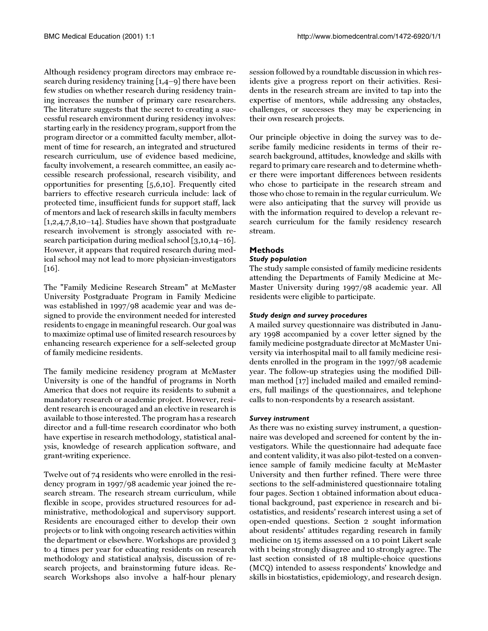Although residency program directors may embrace research during residency training [\[1](#page-5-0),[4](#page-5-3)–[9](#page-5-4)] there have been few studies on whether research during residency training increases the number of primary care researchers. The literature suggests that the secret to creating a successful research environment during residency involves: starting early in the residency program, support from the program director or a committed faculty member, allotment of time for research, an integrated and structured research curriculum, use of evidence based medicine, faculty involvement, a research committee, an easily accessible research professional, research visibility, and opportunities for presenting [[5](#page-5-5)[,6](#page-5-6),[10\]](#page-5-7). Frequently cited barriers to effective research curricula include: lack of protected time, insufficient funds for support staff, lack of mentors and lack of research skills in faculty members [[1](#page-5-0),[2](#page-5-1),[4](#page-5-3),[7](#page-5-8)[,8](#page-5-9),[10](#page-5-7)[–14](#page-5-10)]. Studies have shown that postgraduate research involvement is strongly associated with research participation during medical school [\[3](#page-5-2)[,10,](#page-5-7)[14–](#page-5-10)[16\]](#page-5-11). However, it appears that required research during medical school may not lead to more physician-investigators [[16](#page-5-11)].

The "Family Medicine Research Stream" at McMaster University Postgraduate Program in Family Medicine was established in 1997/98 academic year and was designed to provide the environment needed for interested residents to engage in meaningful research. Our goal was to maximize optimal use of limited research resources by enhancing research experience for a self-selected group of family medicine residents.

The family medicine residency program at McMaster University is one of the handful of programs in North America that does not require its residents to submit a mandatory research or academic project. However, resident research is encouraged and an elective in research is available to those interested. The program has a research director and a full-time research coordinator who both have expertise in research methodology, statistical analysis, knowledge of research application software, and grant-writing experience.

Twelve out of 74 residents who were enrolled in the residency program in 1997/98 academic year joined the research stream. The research stream curriculum, while flexible in scope, provides structured resources for administrative, methodological and supervisory support. Residents are encouraged either to develop their own projects or to link with ongoing research activities within the department or elsewhere. Workshops are provided 3 to 4 times per year for educating residents on research methodology and statistical analysis, discussion of research projects, and brainstorming future ideas. Research Workshops also involve a half-hour plenary session followed by a roundtable discussion in which residents give a progress report on their activities. Residents in the research stream are invited to tap into the expertise of mentors, while addressing any obstacles, challenges, or successes they may be experiencing in their own research projects.

Our principle objective in doing the survey was to describe family medicine residents in terms of their research background, attitudes, knowledge and skills with regard to primary care research and to determine whether there were important differences between residents who chose to participate in the research stream and those who chose to remain in the regular curriculum. We were also anticipating that the survey will provide us with the information required to develop a relevant research curriculum for the family residency research stream.

# **Methods**

# *Study population*

The study sample consisted of family medicine residents attending the Departments of Family Medicine at Mc-Master University during 1997/98 academic year. All residents were eligible to participate.

# *Study design and survey procedures*

A mailed survey questionnaire was distributed in January 1998 accompanied by a cover letter signed by the family medicine postgraduate director at McMaster University via interhospital mail to all family medicine residents enrolled in the program in the 1997/98 academic year. The follow-up strategies using the modified Dillman method [[17](#page-5-12)] included mailed and emailed reminders, full mailings of the questionnaires, and telephone calls to non-respondents by a research assistant.

# *Survey instrument*

As there was no existing survey instrument, a questionnaire was developed and screened for content by the investigators. While the questionnaire had adequate face and content validity, it was also pilot-tested on a convenience sample of family medicine faculty at McMaster University and then further refined. There were three sections to the self-administered questionnaire totaling four pages. Section 1 obtained information about educational background, past experience in research and biostatistics, and residents' research interest using a set of open-ended questions. Section 2 sought information about residents' attitudes regarding research in family medicine on 15 items assessed on a 10 point Likert scale with 1 being strongly disagree and 10 strongly agree. The last section consisted of 18 multiple-choice questions (MCQ) intended to assess respondents' knowledge and skills in biostatistics, epidemiology, and research design.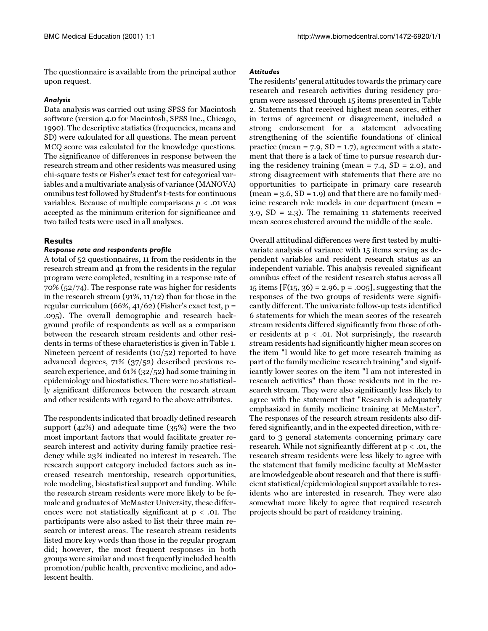The questionnaire is available from the principal author upon request.

#### *Analysis*

Data analysis was carried out using SPSS for Macintosh software (version 4.0 for Macintosh, SPSS Inc., Chicago, 1990). The descriptive statistics (frequencies, means and SD) were calculated for all questions. The mean percent MCQ score was calculated for the knowledge questions. The significance of differences in response between the research stream and other residents was measured using chi-square tests or Fisher's exact test for categorical variables and a multivariate analysis of variance (MANOVA) omnibus test followed by Student's t-tests for continuous variables. Because of multiple comparisons  $p < 0.01$  was accepted as the minimum criterion for significance and two tailed tests were used in all analyses.

#### **Results**

#### *Response rate and respondents profile*

A total of 52 questionnaires, 11 from the residents in the research stream and 41 from the residents in the regular program were completed, resulting in a response rate of 70% (52/74). The response rate was higher for residents in the research stream (91%, 11/12) than for those in the regular curriculum (66%,  $41/62$ ) (Fisher's exact test, p = .095). The overall demographic and research background profile of respondents as well as a comparison between the research stream residents and other residents in terms of these characteristics is given in Table [1.](#page-3-0) Nineteen percent of residents (10/52) reported to have advanced degrees, 71% (37/52) described previous research experience, and 61% (32/52) had some training in epidemiology and biostatistics. There were no statistically significant differences between the research stream and other residents with regard to the above attributes.

The respondents indicated that broadly defined research support (42%) and adequate time (35%) were the two most important factors that would facilitate greater research interest and activity during family practice residency while 23% indicated no interest in research. The research support category included factors such as increased research mentorship, research opportunities, role modeling, biostatistical support and funding. While the research stream residents were more likely to be female and graduates of McMaster University, these differences were not statistically significant at  $p < .01$ . The participants were also asked to list their three main research or interest areas. The research stream residents listed more key words than those in the regular program did; however, the most frequent responses in both groups were similar and most frequently included health promotion/public health, preventive medicine, and adolescent health.

### *Attitudes*

The residents' general attitudes towards the primary care research and research activities during residency program were assessed through 15 items presented in Table [2](#page-3-0). Statements that received highest mean scores, either in terms of agreement or disagreement, included a strong endorsement for a statement advocating strengthening of the scientific foundations of clinical practice (mean = 7.9,  $SD = 1.7$ ), agreement with a statement that there is a lack of time to pursue research during the residency training (mean =  $7.4$ , SD = 2.0), and strong disagreement with statements that there are no opportunities to participate in primary care research  $(mean = 3.6, SD = 1.9)$  and that there are no family medicine research role models in our department (mean =  $3.9, SD = 2.3$ . The remaining 11 statements received mean scores clustered around the middle of the scale.

Overall attitudinal differences were first tested by multivariate analysis of variance with 15 items serving as dependent variables and resident research status as an independent variable. This analysis revealed significant omnibus effect of the resident research status across all 15 items [F(15, 36) = 2.96, p = .005], suggesting that the responses of the two groups of residents were significantly different. The univariate follow-up tests identified 6 statements for which the mean scores of the research stream residents differed significantly from those of other residents at  $p < .01$ . Not surprisingly, the research stream residents had significantly higher mean scores on the item "I would like to get more research training as part of the family medicine research training" and significantly lower scores on the item "I am not interested in research activities" than those residents not in the research stream. They were also significantly less likely to agree with the statement that "Research is adequately emphasized in family medicine training at McMaster". The responses of the research stream residents also differed significantly, and in the expected direction, with regard to 3 general statements concerning primary care research. While not significantly different at p < .01, the research stream residents were less likely to agree with the statement that family medicine faculty at McMaster are knowledgeable about research and that there is sufficient statistical/epidemiological support available to residents who are interested in research. They were also somewhat more likely to agree that required research projects should be part of residency training.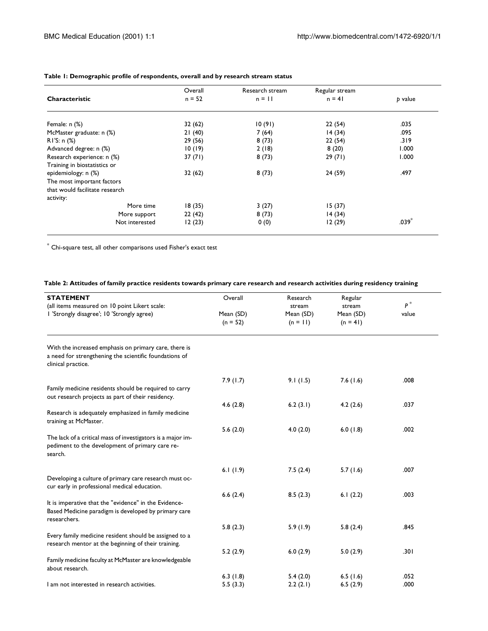|                                           | Overall           | Research stream | Regular stream   |         |
|-------------------------------------------|-------------------|-----------------|------------------|---------|
| Characteristic                            | $n = 52$          | $n = 11$        | $n = 41$         | p value |
|                                           |                   |                 |                  | .035    |
| Female: $n$ $%$                           | 32(62)            | 10(91)<br>7(64) | 22(54)<br>14(34) | .095    |
| McMaster graduate: n (%)<br>$R1'S: n$ (%) | 21(40)<br>29 (56) | 8(73)           | 22(54)           | .319    |
| Advanced degree: n (%)                    | 10(19)            | 2(18)           | 8(20)            | 1.000   |
| Research experience: n (%)                | 37(71)            | 8(73)           | 29(71)           | 1.000   |
| Training in biostatistics or              |                   |                 |                  |         |
| epidemiology: n (%)                       | 32(62)            | 8(73)           | 24 (59)          | .497    |
| The most important factors                |                   |                 |                  |         |
| that would facilitate research            |                   |                 |                  |         |
| activity:                                 |                   |                 |                  |         |
| More time                                 | 18(35)            | 3(27)           | 15(37)           |         |
| More support                              | 22(42)            | 8(73)           | 14(34)           |         |
| Not interested                            | 12(23)            | 0(0)            | 12(29)           | $.039*$ |

#### <span id="page-3-0"></span>**Table 1: Demographic profile of respondents, overall and by research stream status**

 $\degree$  Chi-square test, all other comparisons used Fisher's exact test

#### **Table 2: Attitudes of family practice residents towards primary care research and research activities during residency training**

| <b>STATEMENT</b>                                                                                                                      | Overall    | Research                          | Regular<br>stream<br>Mean (SD)<br>$(n = 41)$ |                |  |
|---------------------------------------------------------------------------------------------------------------------------------------|------------|-----------------------------------|----------------------------------------------|----------------|--|
| (all items measured on 10 point Likert scale:                                                                                         |            | stream<br>Mean (SD)<br>$(n = 11)$ |                                              | $P^*$<br>value |  |
| I 'Strongly disagree'; 10 'Strongly agree)                                                                                            | Mean (SD)  |                                   |                                              |                |  |
|                                                                                                                                       | $(n = 52)$ |                                   |                                              |                |  |
| With the increased emphasis on primary care, there is<br>a need for strengthening the scientific foundations of<br>clinical practice. |            |                                   |                                              |                |  |
|                                                                                                                                       | 7.9(1.7)   | 9.1(1.5)                          | 7.6(1.6)                                     | .008           |  |
| Family medicine residents should be required to carry<br>out research projects as part of their residency.                            |            |                                   |                                              |                |  |
|                                                                                                                                       | 4.6(2.8)   | 6.2(3.1)                          | 4.2(2.6)                                     | .037           |  |
| Research is adequately emphasized in family medicine<br>training at McMaster.                                                         |            |                                   |                                              |                |  |
|                                                                                                                                       | 5.6(2.0)   | 4.0(2.0)                          | 6.0(1.8)                                     | .002           |  |
| The lack of a critical mass of investigators is a major im-<br>pediment to the development of primary care re-<br>search.             |            |                                   |                                              |                |  |
|                                                                                                                                       | 6.1(1.9)   | 7.5(2.4)                          | 5.7(1.6)                                     | .007           |  |
| Developing a culture of primary care research must oc-<br>cur early in professional medical education.                                |            |                                   |                                              |                |  |
|                                                                                                                                       | 6.6(2.4)   | 8.5(2.3)                          | 6.1(2.2)                                     | .003           |  |
| It is imperative that the "evidence" in the Evidence-<br>Based Medicine paradigm is developed by primary care<br>researchers.         |            |                                   |                                              |                |  |
|                                                                                                                                       | 5.8(2.3)   | 5.9(1.9)                          | 5.8(2.4)                                     | .845           |  |
| Every family medicine resident should be assigned to a<br>research mentor at the beginning of their training.                         |            |                                   |                                              |                |  |
|                                                                                                                                       | 5.2(2.9)   | 6.0(2.9)                          | 5.0(2.9)                                     | .301           |  |
| Family medicine faculty at McMaster are knowledgeable<br>about research.                                                              |            |                                   |                                              |                |  |
|                                                                                                                                       | 6.3(1.8)   | 5.4(2.0)                          | 6.5(1.6)                                     | .052           |  |
| I am not interested in research activities.                                                                                           | 5.5(3.3)   | 2.2(2.1)                          | 6.5(2.9)                                     | .000           |  |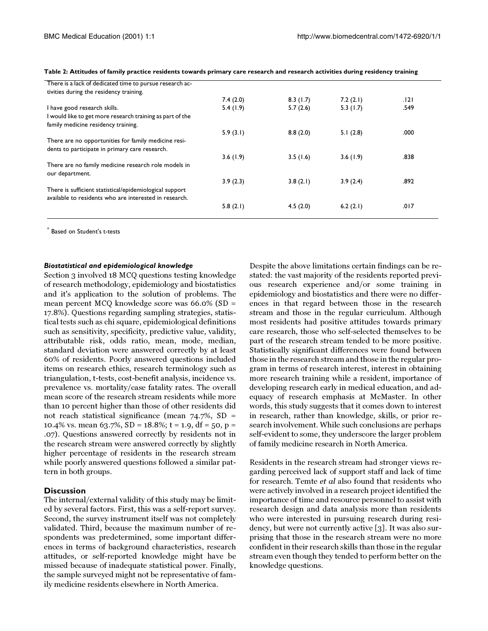| There is a lack of dedicated time to pursue research ac-  |          |          |          |      |
|-----------------------------------------------------------|----------|----------|----------|------|
| tivities during the residency training.                   |          |          |          |      |
|                                                           | 7.4(2.0) | 8.3(1.7) | 7.2(2.1) | .121 |
| I have good research skills.                              | 5.4(1.9) | 5.7(2.6) | 5.3(1.7) | .549 |
| I would like to get more research training as part of the |          |          |          |      |
| family medicine residency training.                       |          |          |          |      |
|                                                           | 5.9(3.1) | 8.8(2.0) | 5.1(2.8) | .000 |
| There are no opportunities for family medicine resi-      |          |          |          |      |
| dents to participate in primary care research.            |          |          |          |      |
|                                                           | 3.6(1.9) | 3.5(1.6) | 3.6(1.9) | .838 |
| There are no family medicine research role models in      |          |          |          |      |
| our department.                                           |          |          |          |      |
|                                                           | 3.9(2.3) | 3.8(2.1) | 3.9(2.4) | .892 |
| There is sufficient statistical/epidemiological support   |          |          |          |      |
| available to residents who are interested in research.    |          |          |          |      |
|                                                           | 5.8(2.1) | 4.5(2.0) | 6.2(2.1) | .017 |
|                                                           |          |          |          |      |

**Table 2: Attitudes of family practice residents towards primary care research and research activities during residency training**

\* Based on Student's t-tests

#### *Biostatistical and epidemiological knowledge*

Section 3 involved 18 MCQ questions testing knowledge of research methodology, epidemiology and biostatistics and it's application to the solution of problems. The mean percent MCQ knowledge score was 66.0% (SD = 17.8%). Questions regarding sampling strategies, statistical tests such as chi square, epidemiological definitions such as sensitivity, specificity, predictive value, validity, attributable risk, odds ratio, mean, mode, median, standard deviation were answered correctly by at least 60% of residents. Poorly answered questions included items on research ethics, research terminology such as triangulation, t-tests, cost-benefit analysis, incidence vs. prevalence vs. mortality/case fatality rates. The overall mean score of the research stream residents while more than 10 percent higher than those of other residents did not reach statistical significance (mean 74.7%, SD = 10.4% vs. mean 63.7%, SD = 18.8%;  $t = 1.9$ , df = 50, p = .07). Questions answered correctly by residents not in the research stream were answered correctly by slightly higher percentage of residents in the research stream while poorly answered questions followed a similar pattern in both groups.

#### **Discussion**

The internal/external validity of this study may be limited by several factors. First, this was a self-report survey. Second, the survey instrument itself was not completely validated. Third, because the maximum number of respondents was predetermined, some important differences in terms of background characteristics, research attitudes, or self-reported knowledge might have be missed because of inadequate statistical power. Finally, the sample surveyed might not be representative of family medicine residents elsewhere in North America.

Despite the above limitations certain findings can be restated: the vast majority of the residents reported previous research experience and/or some training in epidemiology and biostatistics and there were no differences in that regard between those in the research stream and those in the regular curriculum. Although most residents had positive attitudes towards primary care research, those who self-selected themselves to be part of the research stream tended to be more positive. Statistically significant differences were found between those in the research stream and those in the regular program in terms of research interest, interest in obtaining more research training while a resident, importance of developing research early in medical education, and adequacy of research emphasis at McMaster. In other words, this study suggests that it comes down to interest in research, rather than knowledge, skills, or prior research involvement. While such conclusions are perhaps self-evident to some, they underscore the larger problem of family medicine research in North America.

Residents in the research stream had stronger views regarding perceived lack of support staff and lack of time for research. Temte et al also found that residents who were actively involved in a research project identified the importance of time and resource personnel to assist with research design and data analysis more than residents who were interested in pursuing research during residency, but were not currently active [[3](#page-5-2)]. It was also surprising that those in the research stream were no more confident in their research skills than those in the regular stream even though they tended to perform better on the knowledge questions.